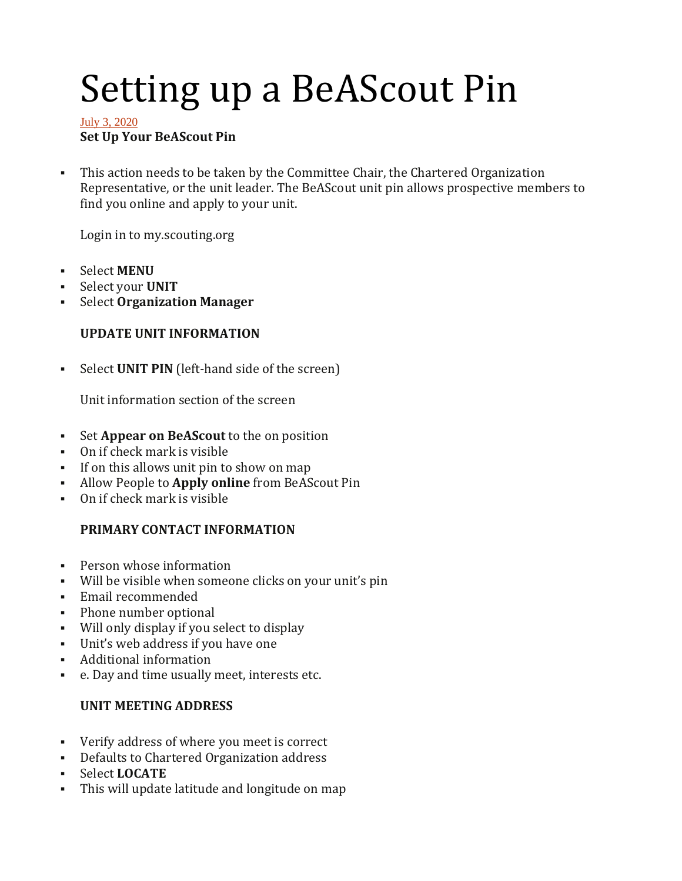# Setting up a BeAScout Pin

#### [July 3, 2020](https://www.scoutspirit.org/setting-up-a-beascout-pin/) **Set Up Your BeAScout Pin**

▪ This action needs to be taken by the Committee Chair, the Chartered Organization Representative, or the unit leader. The BeAScout unit pin allows prospective members to find you online and apply to your unit.

Login in to my.scouting.org

- Select **MENU**
- Select your **UNIT**
- **Select Organization Manager**

## **UPDATE UNIT INFORMATION**

▪ Select **UNIT PIN** (left-hand side of the screen)

Unit information section of the screen

- Set **Appear on BeAScout** to the on position
- On if check mark is visible
- If on this allows unit pin to show on map
- Allow People to **Apply online** from BeAScout Pin
- On if check mark is visible

## **PRIMARY CONTACT INFORMATION**

- Person whose information
- Will be visible when someone clicks on your unit's pin
- Email recommended
- Phone number optional
- Will only display if you select to display
- Unit's web address if you have one
- Additional information
- e. Day and time usually meet, interests etc.

## **UNIT MEETING ADDRESS**

- Verify address of where you meet is correct
- Defaults to Chartered Organization address
- Select **LOCATE**
- This will update latitude and longitude on map